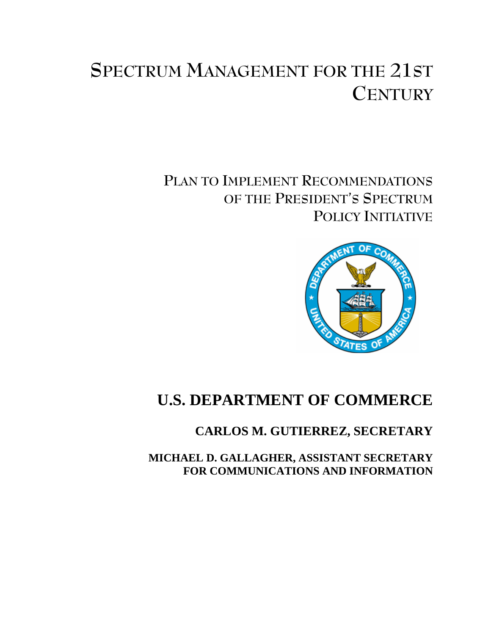# **SPECTRUM MANAGEMENT FOR THE 21ST CENTURY**

# **PLAN TO IMPLEMENT RECOMMENDATIONS OF THE PRESIDENT'S SPECTRUM POLICY INITIATIVE**



# **U.S. DEPARTMENT OF COMMERCE**

# **CARLOS M. GUTIERREZ, SECRETARY**

**MICHAEL D. GALLAGHER, ASSISTANT SECRETARY FOR COMMUNICATIONS AND INFORMATION**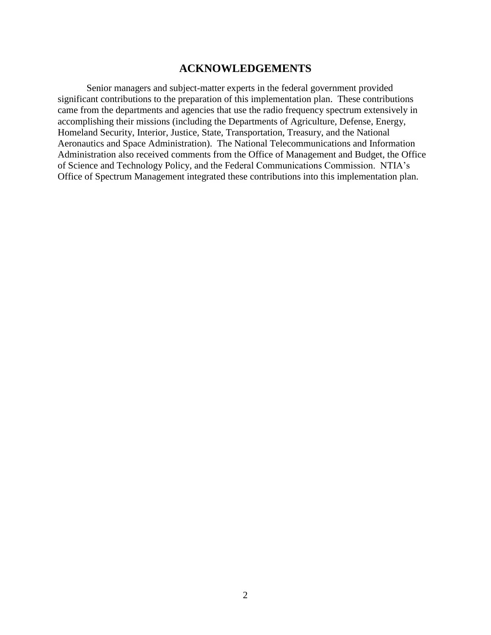#### **ACKNOWLEDGEMENTS**

Senior managers and subject-matter experts in the federal government provided significant contributions to the preparation of this implementation plan. These contributions came from the departments and agencies that use the radio frequency spectrum extensively in accomplishing their missions (including the Departments of Agriculture, Defense, Energy, Homeland Security, Interior, Justice, State, Transportation, Treasury, and the National Aeronautics and Space Administration). The National Telecommunications and Information Administration also received comments from the Office of Management and Budget, the Office of Science and Technology Policy, and the Federal Communications Commission. NTIA's Office of Spectrum Management integrated these contributions into this implementation plan.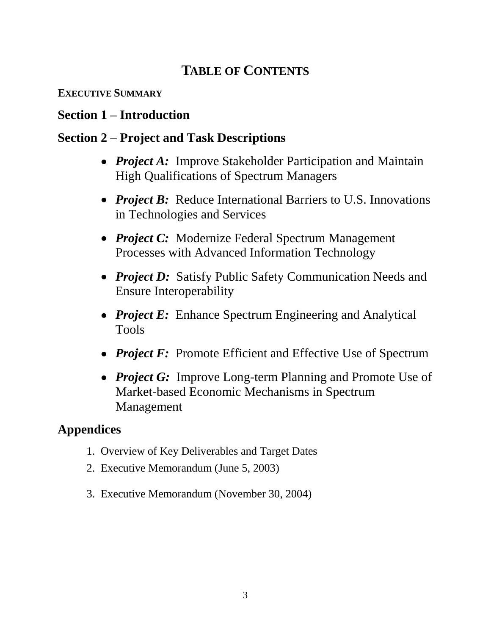# **TABLE OF CONTENTS**

### **EXECUTIVE SUMMARY**

## **Section 1 – Introduction**

# **Section 2 – Project and Task Descriptions**

- *Project A:* Improve Stakeholder Participation and Maintain High Qualifications of Spectrum Managers
- *Project B:* Reduce International Barriers to U.S. Innovations in Technologies and Services
- *Project C:* Modernize Federal Spectrum Management Processes with Advanced Information Technology
- *Project D:* Satisfy Public Safety Communication Needs and Ensure Interoperability
- *Project E:* Enhance Spectrum Engineering and Analytical Tools
- *Project F:* Promote Efficient and Effective Use of Spectrum
- *Project G:* Improve Long-term Planning and Promote Use of Market-based Economic Mechanisms in Spectrum Management

# **Appendices**

- 1. Overview of Key Deliverables and Target Dates
- 2. Executive Memorandum (June 5, 2003)
- 3. Executive Memorandum (November 30, 2004)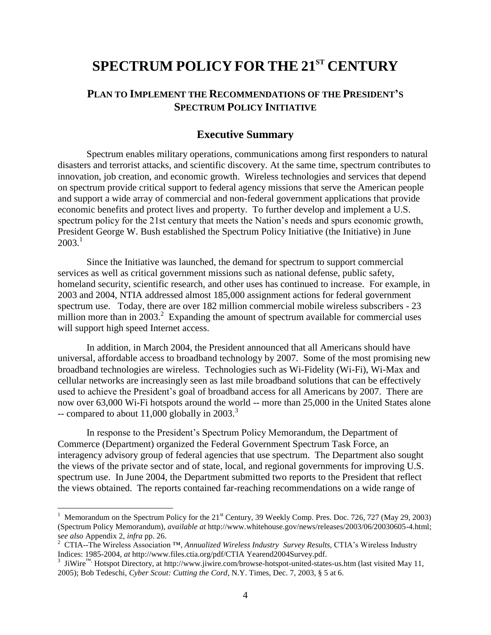# **SPECTRUM POLICY FOR THE 21ST CENTURY**

### **PLAN TO IMPLEMENT THE RECOMMENDATIONS OF THE PRESIDENT'S SPECTRUM POLICY INITIATIVE**

#### **Executive Summary**

Spectrum enables military operations, communications among first responders to natural disasters and terrorist attacks, and scientific discovery. At the same time, spectrum contributes to innovation, job creation, and economic growth. Wireless technologies and services that depend on spectrum provide critical support to federal agency missions that serve the American people and support a wide array of commercial and non-federal government applications that provide economic benefits and protect lives and property. To further develop and implement a U.S. spectrum policy for the 21st century that meets the Nation's needs and spurs economic growth, President George W. Bush established the Spectrum Policy Initiative (the Initiative) in June  $2003.<sup>1</sup>$ 

Since the Initiative was launched, the demand for spectrum to support commercial services as well as critical government missions such as national defense, public safety, homeland security, scientific research, and other uses has continued to increase. For example, in 2003 and 2004, NTIA addressed almost 185,000 assignment actions for federal government spectrum use. Today, there are over 182 million commercial mobile wireless subscribers - 23 million more than in  $2003$ <sup>2</sup> Expanding the amount of spectrum available for commercial uses will support high speed Internet access.

In addition, in March 2004, the President announced that all Americans should have universal, affordable access to broadband technology by 2007. Some of the most promising new broadband technologies are wireless. Technologies such as Wi-Fidelity (Wi-Fi), Wi-Max and cellular networks are increasingly seen as last mile broadband solutions that can be effectively used to achieve the President's goal of broadband access for all Americans by 2007. There are now over 63,000 Wi-Fi hotspots around the world -- more than 25,000 in the United States alone  $-$  compared to about 11,000 globally in 2003.<sup>3</sup>

In response to the President's Spectrum Policy Memorandum, the Department of Commerce (Department) organized the Federal Government Spectrum Task Force, an interagency advisory group of federal agencies that use spectrum. The Department also sought the views of the private sector and of state, local, and regional governments for improving U.S. spectrum use. In June 2004, the Department submitted two reports to the President that reflect the views obtained. The reports contained far-reaching recommendations on a wide range of

 $\overline{a}$ 

<sup>&</sup>lt;sup>1</sup> Memorandum on the Spectrum Policy for the 21<sup>st</sup> Century, 39 Weekly Comp. Pres. Doc. 726, 727 (May 29, 2003) (Spectrum Policy Memorandum), *available at* http://www.whitehouse.gov/news/releases/2003/06/20030605-4.html; s*ee also* Appendix 2, *infra* pp. 26.

<sup>2</sup> CTIA--The Wireless Association ™, *Annualized Wireless Industry Survey Results,* CTIA's Wireless Industry Indices: 1985-2004, *at* http://www.files.ctia.org/pdf/CTIA Yearend2004Survey.pdf.<br><sup>3</sup> JiWire™ Hotspot Directory, at http://www.jiwire.com/browse-hotspot-united-states-us.htm (last visited May 11,

<sup>2005);</sup> Bob Tedeschi, *Cyber Scout: Cutting the Cord*, N.Y. Times, Dec. 7, 2003, § 5 at 6.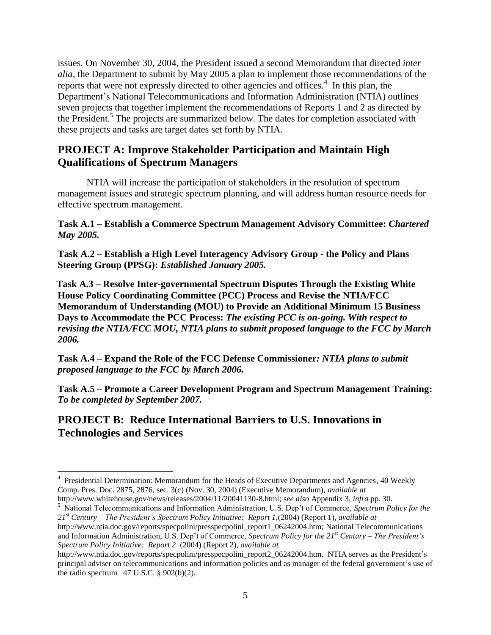issues. On November 30, 2004, the President issued a second Memorandum that directed *inter alia,* the Department to submit by May 2005 a plan to implement those recommendations of the reports that were not expressly directed to other agencies and offices.<sup>4</sup> In this plan, the Department's National Telecommunications and Information Administration (NTIA) outlines seven projects that together implement the recommendations of Reports 1 and 2 as directed by the President.<sup>5</sup> The projects are summarized below. The dates for completion associated with these projects and tasks are target dates set forth by NTIA.

### **PROJECT A: Improve Stakeholder Participation and Maintain High Qualifications of Spectrum Managers**

 NTIA will increase the participation of stakeholders in the resolution of spectrum management issues and strategic spectrum planning, and will address human resource needs for effective spectrum management.

#### **Task A.1 – Establish a Commerce Spectrum Management Advisory Committee:** *Chartered May 2005.*

**Task A.2 – Establish a High Level Interagency Advisory Group - the Policy and Plans Steering Group (PPSG):** *Established January 2005.*

**Task A.3 – Resolve Inter-governmental Spectrum Disputes Through the Existing White House Policy Coordinating Committee (PCC) Process and Revise the NTIA/FCC Memorandum of Understanding (MOU) to Provide an Additional Minimum 15 Business Days to Accommodate the PCC Process:** *The existing PCC is on-going. With respect to revising the NTIA/FCC MOU, NTIA plans to submit proposed language to the FCC by March 2006.*

**Task A.4 – Expand the Role of the FCC Defense Commissioner***: NTIA plans to submit proposed language to the FCC by March 2006.* 

**Task A.5 – Promote a Career Development Program and Spectrum Management Training:**  *To be completed by September 2007.*

### **PROJECT B: Reduce International Barriers to U.S. Innovations in Technologies and Services**

 $\overline{a}$ <sup>4</sup> Presidential Determination: Memorandum for the Heads of Executive Departments and Agencies, 40 Weekly Comp. Pres. Doc. 2875, 2876, sec. 3(c) (Nov. 30, 2004) (Executive Memorandum), *available at* 

http://www.whitehouse.gov/news/releases/2004/11/20041130-8.html; s*ee also* Appendix 3, *infra* pp. 30.

<sup>5</sup> National Telecommunications and Information Administration, U.S. Dep't of Commerce, *Spectrum Policy for the 21st Century – The President's Spectrum Policy Initiative: Report 1*,(2004) (Report 1), *available at* 

http://www.ntia.doc.gov/reports/specpolini/presspecpolini report1\_06242004.htm; National Telecommunications and Information Administration, U.S. Dep't of Commerce, *Spectrum Policy for the 21st Century – The President's Spectrum Policy Initiative: Report 2* (2004) (Report 2), *available at* 

http://www.ntia.doc.gov/reports/specpolini/presspecpolini\_report2\_06242004.htm. NTIA serves as the President's principal adviser on telecommunications and information policies and as manager of the federal government's use of the radio spectrum.  $47 \text{ U.S.C. } § 902(b)(2)$ .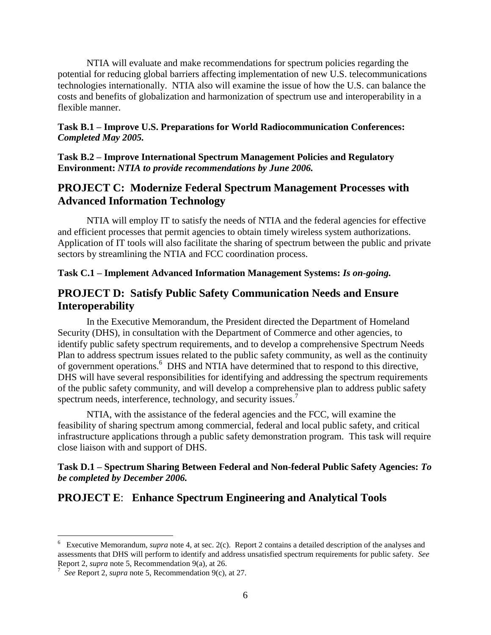NTIA will evaluate and make recommendations for spectrum policies regarding the potential for reducing global barriers affecting implementation of new U.S. telecommunications technologies internationally. NTIA also will examine the issue of how the U.S. can balance the costs and benefits of globalization and harmonization of spectrum use and interoperability in a flexible manner.

#### **Task B.1 – Improve U.S. Preparations for World Radiocommunication Conferences:**  *Completed May 2005.*

**Task B.2 – Improve International Spectrum Management Policies and Regulatory Environment:** *NTIA to provide recommendations by June 2006.*

### **PROJECT C: Modernize Federal Spectrum Management Processes with Advanced Information Technology**

NTIA will employ IT to satisfy the needs of NTIA and the federal agencies for effective and efficient processes that permit agencies to obtain timely wireless system authorizations. Application of IT tools will also facilitate the sharing of spectrum between the public and private sectors by streamlining the NTIA and FCC coordination process.

#### **Task C.1 – Implement Advanced Information Management Systems:** *Is on-going.*

### **PROJECT D: Satisfy Public Safety Communication Needs and Ensure Interoperability**

In the Executive Memorandum, the President directed the Department of Homeland Security (DHS), in consultation with the Department of Commerce and other agencies, to identify public safety spectrum requirements, and to develop a comprehensive Spectrum Needs Plan to address spectrum issues related to the public safety community, as well as the continuity of government operations.<sup>6</sup> DHS and NTIA have determined that to respond to this directive, DHS will have several responsibilities for identifying and addressing the spectrum requirements of the public safety community, and will develop a comprehensive plan to address public safety spectrum needs, interference, technology, and security issues.<sup>7</sup>

NTIA, with the assistance of the federal agencies and the FCC, will examine the feasibility of sharing spectrum among commercial, federal and local public safety, and critical infrastructure applications through a public safety demonstration program. This task will require close liaison with and support of DHS.

#### **Task D.1 – Spectrum Sharing Between Federal and Non-federal Public Safety Agencies:** *To be completed by December 2006.*

### **PROJECT E**: **Enhance Spectrum Engineering and Analytical Tools**

 $\overline{a}$ 

<sup>&</sup>lt;sup>6</sup> Executive Memorandum, *supra* note 4, at sec. 2(c). Report 2 contains a detailed description of the analyses and assessments that DHS will perform to identify and address unsatisfied spectrum requirements for public safety. *See*  Report 2, *supra* note 5, Recommendation 9(a), at 26.

<sup>7</sup> *See* Report 2, *supra* note 5, Recommendation 9(c), at 27.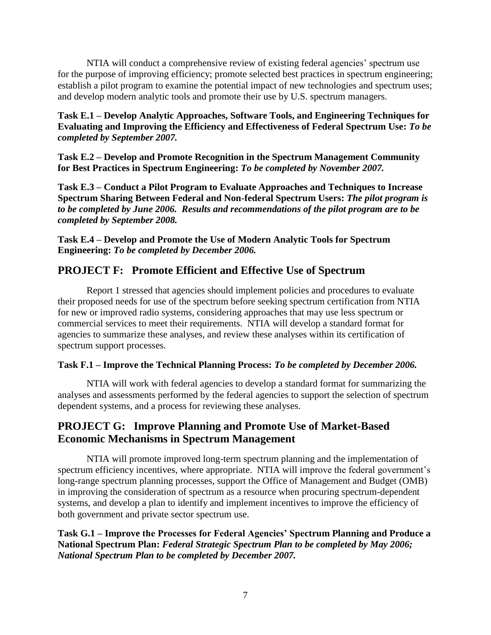NTIA will conduct a comprehensive review of existing federal agencies' spectrum use for the purpose of improving efficiency; promote selected best practices in spectrum engineering; establish a pilot program to examine the potential impact of new technologies and spectrum uses; and develop modern analytic tools and promote their use by U.S. spectrum managers.

**Task E.1 – Develop Analytic Approaches, Software Tools, and Engineering Techniques for Evaluating and Improving the Efficiency and Effectiveness of Federal Spectrum Use:** *To be completed by September 2007.*

**Task E.2 – Develop and Promote Recognition in the Spectrum Management Community for Best Practices in Spectrum Engineering:** *To be completed by November 2007.*

**Task E.3 – Conduct a Pilot Program to Evaluate Approaches and Techniques to Increase Spectrum Sharing Between Federal and Non-federal Spectrum Users:** *The pilot program is to be completed by June 2006. Results and recommendations of the pilot program are to be completed by September 2008.*

**Task E.4 – Develop and Promote the Use of Modern Analytic Tools for Spectrum Engineering:** *To be completed by December 2006.*

### **PROJECT F: Promote Efficient and Effective Use of Spectrum**

Report 1 stressed that agencies should implement policies and procedures to evaluate their proposed needs for use of the spectrum before seeking spectrum certification from NTIA for new or improved radio systems, considering approaches that may use less spectrum or commercial services to meet their requirements. NTIA will develop a standard format for agencies to summarize these analyses, and review these analyses within its certification of spectrum support processes.

#### **Task F.1 – Improve the Technical Planning Process:** *To be completed by December 2006.*

NTIA will work with federal agencies to develop a standard format for summarizing the analyses and assessments performed by the federal agencies to support the selection of spectrum dependent systems, and a process for reviewing these analyses.

### **PROJECT G: Improve Planning and Promote Use of Market-Based Economic Mechanisms in Spectrum Management**

NTIA will promote improved long-term spectrum planning and the implementation of spectrum efficiency incentives, where appropriate. NTIA will improve the federal government's long-range spectrum planning processes, support the Office of Management and Budget (OMB) in improving the consideration of spectrum as a resource when procuring spectrum-dependent systems, and develop a plan to identify and implement incentives to improve the efficiency of both government and private sector spectrum use.

**Task G.1 – Improve the Processes for Federal Agencies' Spectrum Planning and Produce a National Spectrum Plan:** *Federal Strategic Spectrum Plan to be completed by May 2006; National Spectrum Plan to be completed by December 2007.*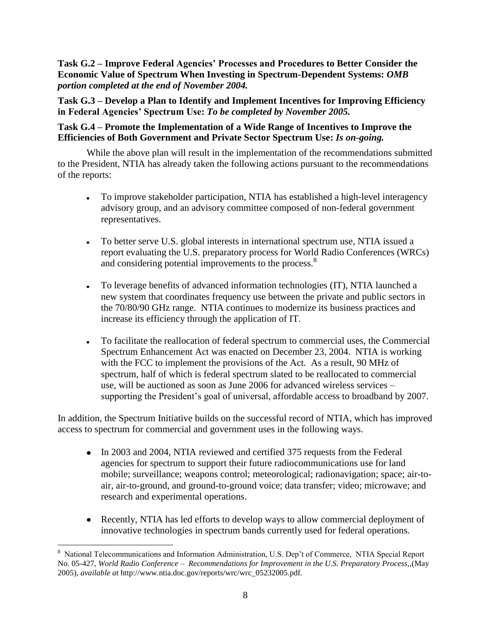**Task G.2 – Improve Federal Agencies' Processes and Procedures to Better Consider the Economic Value of Spectrum When Investing in Spectrum-Dependent Systems:** *OMB portion completed at the end of November 2004.*

**Task G.3 – Develop a Plan to Identify and Implement Incentives for Improving Efficiency in Federal Agencies' Spectrum Use:** *To be completed by November 2005.*

#### **Task G.4 – Promote the Implementation of a Wide Range of Incentives to Improve the Efficiencies of Both Government and Private Sector Spectrum Use:** *Is on-going.*

While the above plan will result in the implementation of the recommendations submitted to the President, NTIA has already taken the following actions pursuant to the recommendations of the reports:

- To improve stakeholder participation, NTIA has established a high-level interagency advisory group, and an advisory committee composed of non-federal government representatives.
- To better serve U.S. global interests in international spectrum use, NTIA issued a report evaluating the U.S. preparatory process for World Radio Conferences (WRCs) and considering potential improvements to the process.<sup>8</sup>
- To leverage benefits of advanced information technologies (IT), NTIA launched a  $\bullet$ new system that coordinates frequency use between the private and public sectors in the 70/80/90 GHz range. NTIA continues to modernize its business practices and increase its efficiency through the application of IT.
- To facilitate the reallocation of federal spectrum to commercial uses, the Commercial Spectrum Enhancement Act was enacted on December 23, 2004. NTIA is working with the FCC to implement the provisions of the Act. As a result, 90 MHz of spectrum, half of which is federal spectrum slated to be reallocated to commercial use, will be auctioned as soon as June 2006 for advanced wireless services – supporting the President's goal of universal, affordable access to broadband by 2007.

In addition, the Spectrum Initiative builds on the successful record of NTIA, which has improved access to spectrum for commercial and government uses in the following ways.

- In 2003 and 2004, NTIA reviewed and certified 375 requests from the Federal agencies for spectrum to support their future radiocommunications use for land mobile; surveillance; weapons control; meteorological; radionavigation; space; air-toair, air-to-ground, and ground-to-ground voice; data transfer; video; microwave; and research and experimental operations.
- Recently, NTIA has led efforts to develop ways to allow commercial deployment of innovative technologies in spectrum bands currently used for federal operations.

 $\overline{a}$ <sup>8</sup> National Telecommunications and Information Administration, U.S. Dep't of Commerce, NTIA Special Report No. 05-427, *World Radio Conference – Recommendations for Improvement in the U.S. Preparatory Process,*,(May 2005), *available at* http://www.ntia.doc.gov/reports/wrc/wrc\_05232005.pdf.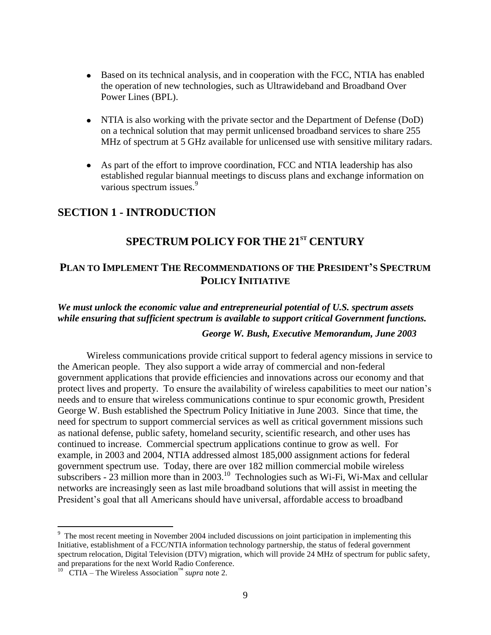- Based on its technical analysis, and in cooperation with the FCC, NTIA has enabled the operation of new technologies, such as Ultrawideband and Broadband Over Power Lines (BPL).
- NTIA is also working with the private sector and the Department of Defense (DoD) on a technical solution that may permit unlicensed broadband services to share 255 MHz of spectrum at 5 GHz available for unlicensed use with sensitive military radars.
- As part of the effort to improve coordination, FCC and NTIA leadership has also established regular biannual meetings to discuss plans and exchange information on various spectrum issues.<sup>9</sup>

#### **SECTION 1 - INTRODUCTION**

# **SPECTRUM POLICY FOR THE 21ST CENTURY**

### **PLAN TO IMPLEMENT THE RECOMMENDATIONS OF THE PRESIDENT'S SPECTRUM POLICY INITIATIVE**

#### *We must unlock the economic value and entrepreneurial potential of U.S. spectrum assets while ensuring that sufficient spectrum is available to support critical Government functions. George W. Bush, Executive Memorandum, June 2003*

Wireless communications provide critical support to federal agency missions in service to the American people. They also support a wide array of commercial and non-federal government applications that provide efficiencies and innovations across our economy and that protect lives and property. To ensure the availability of wireless capabilities to meet our nation's needs and to ensure that wireless communications continue to spur economic growth, President George W. Bush established the Spectrum Policy Initiative in June 2003. Since that time, the need for spectrum to support commercial services as well as critical government missions such as national defense, public safety, homeland security, scientific research, and other uses has continued to increase. Commercial spectrum applications continue to grow as well. For example, in 2003 and 2004, NTIA addressed almost 185,000 assignment actions for federal government spectrum use. Today, there are over 182 million commercial mobile wireless subscribers -  $23$  million more than in 2003.<sup>10</sup> Technologies such as Wi-Fi, Wi-Max and cellular networks are increasingly seen as last mile broadband solutions that will assist in meeting the President's goal that all Americans should have universal, affordable access to broadband

<sup>&</sup>lt;sup>9</sup> The most recent meeting in November 2004 included discussions on joint participation in implementing this Initiative, establishment of a FCC/NTIA information technology partnership, the status of federal government spectrum relocation, Digital Television (DTV) migration, which will provide 24 MHz of spectrum for public safety, and preparations for the next World Radio Conference.

<sup>&</sup>lt;sup>10</sup> CTIA – The Wireless Association<sup>™</sup> *supra* note 2.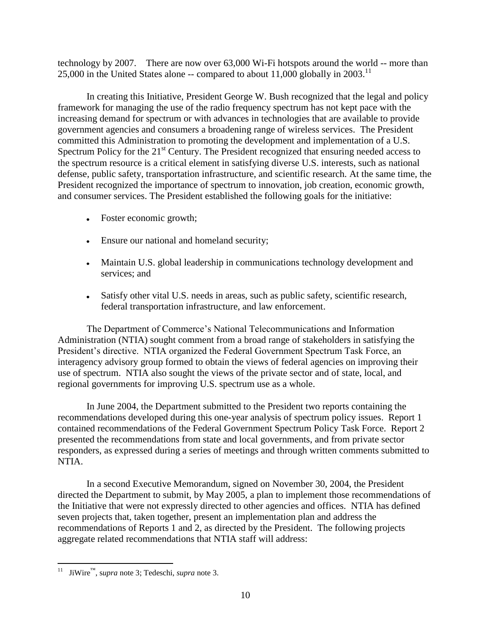technology by 2007. There are now over 63,000 Wi-Fi hotspots around the world -- more than 25,000 in the United States alone -- compared to about 11,000 globally in 2003.<sup>11</sup>

In creating this Initiative, President George W. Bush recognized that the legal and policy framework for managing the use of the radio frequency spectrum has not kept pace with the increasing demand for spectrum or with advances in technologies that are available to provide government agencies and consumers a broadening range of wireless services. The President committed this Administration to promoting the development and implementation of a U.S. Spectrum Policy for the  $21<sup>st</sup>$  Century. The President recognized that ensuring needed access to the spectrum resource is a critical element in satisfying diverse U.S. interests, such as national defense, public safety, transportation infrastructure, and scientific research. At the same time, the President recognized the importance of spectrum to innovation, job creation, economic growth, and consumer services. The President established the following goals for the initiative:

- Foster economic growth;
- Ensure our national and homeland security;
- Maintain U.S. global leadership in communications technology development and services; and
- Satisfy other vital U.S. needs in areas, such as public safety, scientific research, federal transportation infrastructure, and law enforcement.

The Department of Commerce's National Telecommunications and Information Administration (NTIA) sought comment from a broad range of stakeholders in satisfying the President's directive. NTIA organized the Federal Government Spectrum Task Force, an interagency advisory group formed to obtain the views of federal agencies on improving their use of spectrum. NTIA also sought the views of the private sector and of state, local, and regional governments for improving U.S. spectrum use as a whole.

In June 2004, the Department submitted to the President two reports containing the recommendations developed during this one-year analysis of spectrum policy issues. Report 1 contained recommendations of the Federal Government Spectrum Policy Task Force. Report 2 presented the recommendations from state and local governments, and from private sector responders, as expressed during a series of meetings and through written comments submitted to NTIA.

In a second Executive Memorandum, signed on November 30, 2004, the President directed the Department to submit, by May 2005, a plan to implement those recommendations of the Initiative that were not expressly directed to other agencies and offices. NTIA has defined seven projects that, taken together, present an implementation plan and address the recommendations of Reports 1 and 2, as directed by the President. The following projects aggregate related recommendations that NTIA staff will address:

<sup>&</sup>lt;sup>11</sup> JiWire™, *supra* note 3; Tedeschi, *supra* note 3.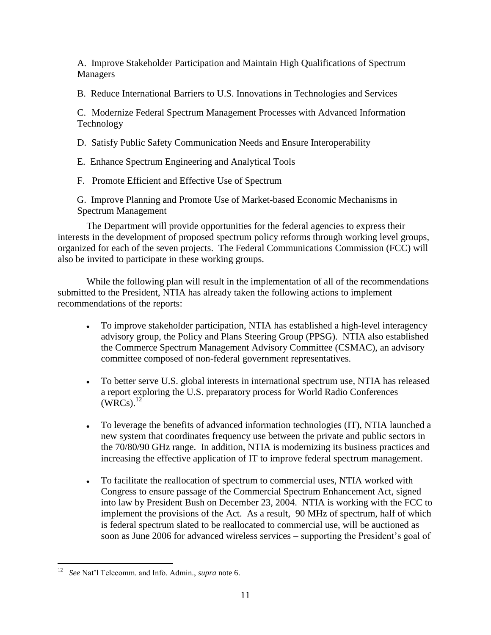A. Improve Stakeholder Participation and Maintain High Qualifications of Spectrum Managers

B. Reduce International Barriers to U.S. Innovations in Technologies and Services

C. Modernize Federal Spectrum Management Processes with Advanced Information Technology

D. Satisfy Public Safety Communication Needs and Ensure Interoperability

E. Enhance Spectrum Engineering and Analytical Tools

F. Promote Efficient and Effective Use of Spectrum

G. Improve Planning and Promote Use of Market-based Economic Mechanisms in Spectrum Management

The Department will provide opportunities for the federal agencies to express their interests in the development of proposed spectrum policy reforms through working level groups, organized for each of the seven projects. The Federal Communications Commission (FCC) will also be invited to participate in these working groups.

While the following plan will result in the implementation of all of the recommendations submitted to the President, NTIA has already taken the following actions to implement recommendations of the reports:

- To improve stakeholder participation, NTIA has established a high-level interagency advisory group, the Policy and Plans Steering Group (PPSG). NTIA also established the Commerce Spectrum Management Advisory Committee (CSMAC), an advisory committee composed of non-federal government representatives.
- To better serve U.S. global interests in international spectrum use, NTIA has released a report exploring the U.S. preparatory process for World Radio Conferences  $(W\dot{R}Cs)$ .<sup>12</sup>
- To leverage the benefits of advanced information technologies (IT), NTIA launched a new system that coordinates frequency use between the private and public sectors in the 70/80/90 GHz range. In addition, NTIA is modernizing its business practices and increasing the effective application of IT to improve federal spectrum management.
- $\bullet$ To facilitate the reallocation of spectrum to commercial uses, NTIA worked with Congress to ensure passage of the Commercial Spectrum Enhancement Act, signed into law by President Bush on December 23, 2004. NTIA is working with the FCC to implement the provisions of the Act. As a result, 90 MHz of spectrum, half of which is federal spectrum slated to be reallocated to commercial use, will be auctioned as soon as June 2006 for advanced wireless services – supporting the President's goal of

 12 *See* Nat'l Telecomm. and Info. Admin., *supra* note 6.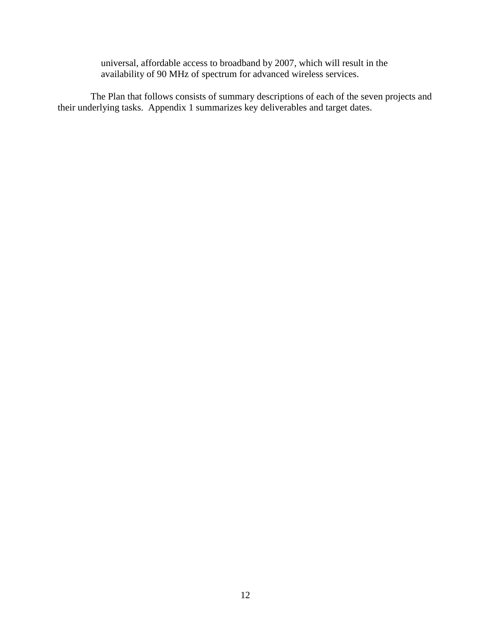universal, affordable access to broadband by 2007, which will result in the availability of 90 MHz of spectrum for advanced wireless services.

The Plan that follows consists of summary descriptions of each of the seven projects and their underlying tasks. Appendix 1 summarizes key deliverables and target dates.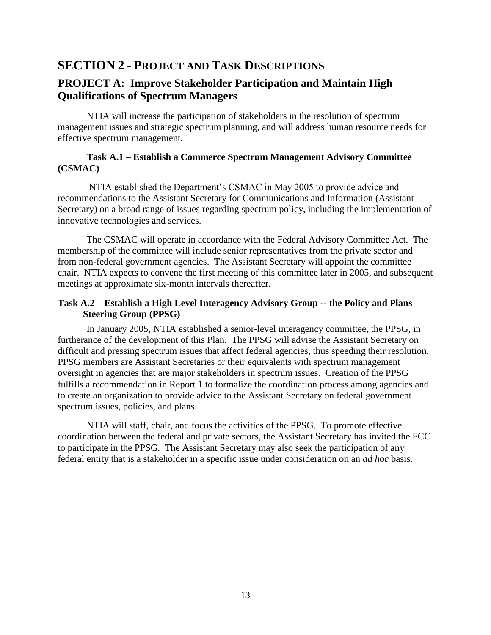# **SECTION 2 - PROJECT AND TASK DESCRIPTIONS PROJECT A: Improve Stakeholder Participation and Maintain High Qualifications of Spectrum Managers**

NTIA will increase the participation of stakeholders in the resolution of spectrum management issues and strategic spectrum planning, and will address human resource needs for effective spectrum management.

#### **Task A.1 – Establish a Commerce Spectrum Management Advisory Committee (CSMAC)**

NTIA established the Department's CSMAC in May 2005 to provide advice and recommendations to the Assistant Secretary for Communications and Information (Assistant Secretary) on a broad range of issues regarding spectrum policy, including the implementation of innovative technologies and services.

The CSMAC will operate in accordance with the Federal Advisory Committee Act. The membership of the committee will include senior representatives from the private sector and from non-federal government agencies. The Assistant Secretary will appoint the committee chair. NTIA expects to convene the first meeting of this committee later in 2005, and subsequent meetings at approximate six-month intervals thereafter.

#### **Task A.2 – Establish a High Level Interagency Advisory Group -- the Policy and Plans Steering Group (PPSG)**

In January 2005, NTIA established a senior-level interagency committee, the PPSG, in furtherance of the development of this Plan. The PPSG will advise the Assistant Secretary on difficult and pressing spectrum issues that affect federal agencies, thus speeding their resolution. PPSG members are Assistant Secretaries or their equivalents with spectrum management oversight in agencies that are major stakeholders in spectrum issues. Creation of the PPSG fulfills a recommendation in Report 1 to formalize the coordination process among agencies and to create an organization to provide advice to the Assistant Secretary on federal government spectrum issues, policies, and plans.

NTIA will staff, chair, and focus the activities of the PPSG. To promote effective coordination between the federal and private sectors, the Assistant Secretary has invited the FCC to participate in the PPSG. The Assistant Secretary may also seek the participation of any federal entity that is a stakeholder in a specific issue under consideration on an *ad hoc* basis.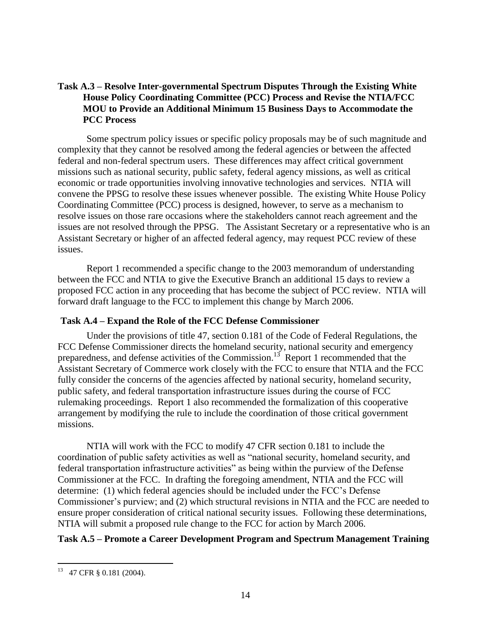#### **Task A.3 – Resolve Inter-governmental Spectrum Disputes Through the Existing White House Policy Coordinating Committee (PCC) Process and Revise the NTIA/FCC MOU to Provide an Additional Minimum 15 Business Days to Accommodate the PCC Process**

Some spectrum policy issues or specific policy proposals may be of such magnitude and complexity that they cannot be resolved among the federal agencies or between the affected federal and non-federal spectrum users. These differences may affect critical government missions such as national security, public safety, federal agency missions, as well as critical economic or trade opportunities involving innovative technologies and services. NTIA will convene the PPSG to resolve these issues whenever possible. The existing White House Policy Coordinating Committee (PCC) process is designed, however, to serve as a mechanism to resolve issues on those rare occasions where the stakeholders cannot reach agreement and the issues are not resolved through the PPSG. The Assistant Secretary or a representative who is an Assistant Secretary or higher of an affected federal agency, may request PCC review of these issues.

Report 1 recommended a specific change to the 2003 memorandum of understanding between the FCC and NTIA to give the Executive Branch an additional 15 days to review a proposed FCC action in any proceeding that has become the subject of PCC review. NTIA will forward draft language to the FCC to implement this change by March 2006.

#### **Task A.4 – Expand the Role of the FCC Defense Commissioner**

Under the provisions of title 47, section 0.181 of the Code of Federal Regulations, the FCC Defense Commissioner directs the homeland security, national security and emergency preparedness, and defense activities of the Commission.<sup>13</sup> Report 1 recommended that the Assistant Secretary of Commerce work closely with the FCC to ensure that NTIA and the FCC fully consider the concerns of the agencies affected by national security, homeland security, public safety, and federal transportation infrastructure issues during the course of FCC rulemaking proceedings. Report 1 also recommended the formalization of this cooperative arrangement by modifying the rule to include the coordination of those critical government missions.

NTIA will work with the FCC to modify 47 CFR section 0.181 to include the coordination of public safety activities as well as "national security, homeland security, and federal transportation infrastructure activities" as being within the purview of the Defense Commissioner at the FCC. In drafting the foregoing amendment, NTIA and the FCC will determine: (1) which federal agencies should be included under the FCC's Defense Commissioner's purview; and (2) which structural revisions in NTIA and the FCC are needed to ensure proper consideration of critical national security issues. Following these determinations, NTIA will submit a proposed rule change to the FCC for action by March 2006.

#### **Task A.5 – Promote a Career Development Program and Spectrum Management Training**

 13 47 CFR § 0.181 (2004).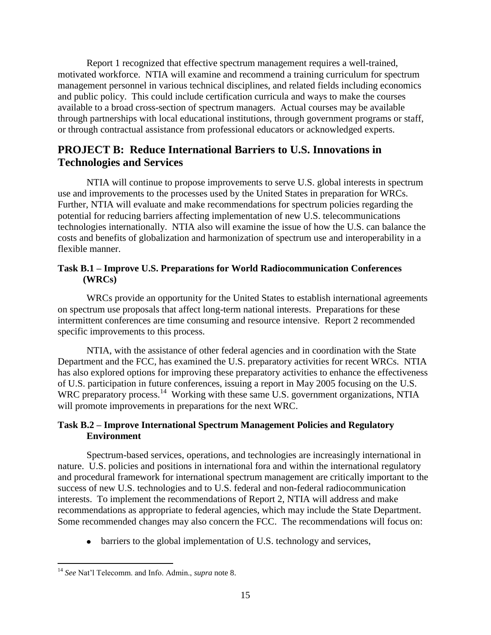Report 1 recognized that effective spectrum management requires a well-trained, motivated workforce. NTIA will examine and recommend a training curriculum for spectrum management personnel in various technical disciplines, and related fields including economics and public policy. This could include certification curricula and ways to make the courses available to a broad cross-section of spectrum managers. Actual courses may be available through partnerships with local educational institutions, through government programs or staff, or through contractual assistance from professional educators or acknowledged experts.

### **PROJECT B: Reduce International Barriers to U.S. Innovations in Technologies and Services**

NTIA will continue to propose improvements to serve U.S. global interests in spectrum use and improvements to the processes used by the United States in preparation for WRCs. Further, NTIA will evaluate and make recommendations for spectrum policies regarding the potential for reducing barriers affecting implementation of new U.S. telecommunications technologies internationally. NTIA also will examine the issue of how the U.S. can balance the costs and benefits of globalization and harmonization of spectrum use and interoperability in a flexible manner.

#### **Task B.1 – Improve U.S. Preparations for World Radiocommunication Conferences (WRCs)**

WRCs provide an opportunity for the United States to establish international agreements on spectrum use proposals that affect long-term national interests. Preparations for these intermittent conferences are time consuming and resource intensive. Report 2 recommended specific improvements to this process.

NTIA, with the assistance of other federal agencies and in coordination with the State Department and the FCC, has examined the U.S. preparatory activities for recent WRCs. NTIA has also explored options for improving these preparatory activities to enhance the effectiveness of U.S. participation in future conferences, issuing a report in May 2005 focusing on the U.S. WRC preparatory process.<sup>14</sup> Working with these same U.S. government organizations, NTIA will promote improvements in preparations for the next WRC.

#### **Task B.2 – Improve International Spectrum Management Policies and Regulatory Environment**

Spectrum-based services, operations, and technologies are increasingly international in nature. U.S. policies and positions in international fora and within the international regulatory and procedural framework for international spectrum management are critically important to the success of new U.S. technologies and to U.S. federal and non-federal radiocommunication interests. To implement the recommendations of Report 2, NTIA will address and make recommendations as appropriate to federal agencies, which may include the State Department. Some recommended changes may also concern the FCC. The recommendations will focus on:

• barriers to the global implementation of U.S. technology and services,

 $\overline{a}$ <sup>14</sup> *See* Nat'l Telecomm. and Info. Admin., *supra* note 8.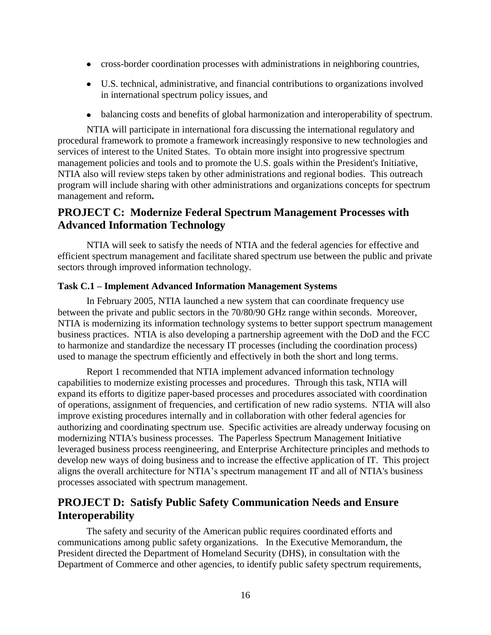- cross-border coordination processes with administrations in neighboring countries,
- U.S. technical, administrative, and financial contributions to organizations involved in international spectrum policy issues, and
- balancing costs and benefits of global harmonization and interoperability of spectrum.

NTIA will participate in international fora discussing the international regulatory and procedural framework to promote a framework increasingly responsive to new technologies and services of interest to the United States. To obtain more insight into progressive spectrum management policies and tools and to promote the U.S. goals within the President's Initiative, NTIA also will review steps taken by other administrations and regional bodies. This outreach program will include sharing with other administrations and organizations concepts for spectrum management and reform**.**

### **PROJECT C: Modernize Federal Spectrum Management Processes with Advanced Information Technology**

NTIA will seek to satisfy the needs of NTIA and the federal agencies for effective and efficient spectrum management and facilitate shared spectrum use between the public and private sectors through improved information technology.

#### **Task C.1 – Implement Advanced Information Management Systems**

In February 2005, NTIA launched a new system that can coordinate frequency use between the private and public sectors in the 70/80/90 GHz range within seconds. Moreover, NTIA is modernizing its information technology systems to better support spectrum management business practices. NTIA is also developing a partnership agreement with the DoD and the FCC to harmonize and standardize the necessary IT processes (including the coordination process) used to manage the spectrum efficiently and effectively in both the short and long terms.

Report 1 recommended that NTIA implement advanced information technology capabilities to modernize existing processes and procedures. Through this task, NTIA will expand its efforts to digitize paper-based processes and procedures associated with coordination of operations, assignment of frequencies, and certification of new radio systems. NTIA will also improve existing procedures internally and in collaboration with other federal agencies for authorizing and coordinating spectrum use. Specific activities are already underway focusing on modernizing NTIA's business processes. The Paperless Spectrum Management Initiative leveraged business process reengineering, and Enterprise Architecture principles and methods to develop new ways of doing business and to increase the effective application of IT. This project aligns the overall architecture for NTIA's spectrum management IT and all of NTIA's business processes associated with spectrum management.

### **PROJECT D: Satisfy Public Safety Communication Needs and Ensure Interoperability**

The safety and security of the American public requires coordinated efforts and communications among public safety organizations. In the Executive Memorandum, the President directed the Department of Homeland Security (DHS), in consultation with the Department of Commerce and other agencies, to identify public safety spectrum requirements,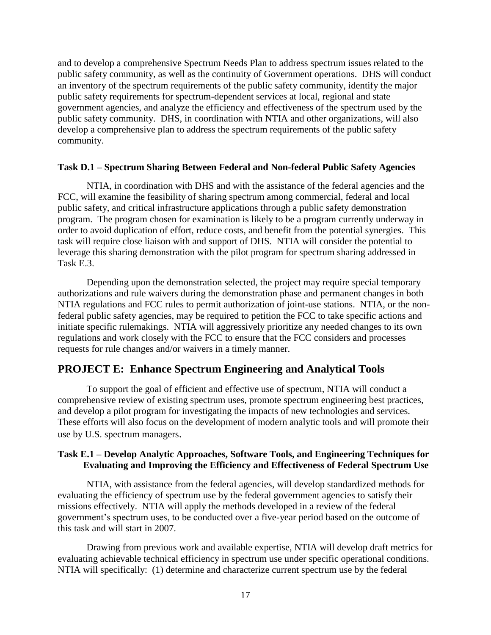and to develop a comprehensive Spectrum Needs Plan to address spectrum issues related to the public safety community, as well as the continuity of Government operations. DHS will conduct an inventory of the spectrum requirements of the public safety community, identify the major public safety requirements for spectrum-dependent services at local, regional and state government agencies, and analyze the efficiency and effectiveness of the spectrum used by the public safety community. DHS, in coordination with NTIA and other organizations, will also develop a comprehensive plan to address the spectrum requirements of the public safety community.

#### **Task D.1 – Spectrum Sharing Between Federal and Non-federal Public Safety Agencies**

NTIA, in coordination with DHS and with the assistance of the federal agencies and the FCC, will examine the feasibility of sharing spectrum among commercial, federal and local public safety, and critical infrastructure applications through a public safety demonstration program. The program chosen for examination is likely to be a program currently underway in order to avoid duplication of effort, reduce costs, and benefit from the potential synergies. This task will require close liaison with and support of DHS. NTIA will consider the potential to leverage this sharing demonstration with the pilot program for spectrum sharing addressed in Task E.3.

Depending upon the demonstration selected, the project may require special temporary authorizations and rule waivers during the demonstration phase and permanent changes in both NTIA regulations and FCC rules to permit authorization of joint-use stations. NTIA, or the nonfederal public safety agencies, may be required to petition the FCC to take specific actions and initiate specific rulemakings. NTIA will aggressively prioritize any needed changes to its own regulations and work closely with the FCC to ensure that the FCC considers and processes requests for rule changes and/or waivers in a timely manner.

### **PROJECT E: Enhance Spectrum Engineering and Analytical Tools**

To support the goal of efficient and effective use of spectrum, NTIA will conduct a comprehensive review of existing spectrum uses, promote spectrum engineering best practices, and develop a pilot program for investigating the impacts of new technologies and services. These efforts will also focus on the development of modern analytic tools and will promote their use by U.S. spectrum managers.

#### **Task E.1 – Develop Analytic Approaches, Software Tools, and Engineering Techniques for Evaluating and Improving the Efficiency and Effectiveness of Federal Spectrum Use**

NTIA, with assistance from the federal agencies, will develop standardized methods for evaluating the efficiency of spectrum use by the federal government agencies to satisfy their missions effectively. NTIA will apply the methods developed in a review of the federal government's spectrum uses, to be conducted over a five-year period based on the outcome of this task and will start in 2007.

Drawing from previous work and available expertise, NTIA will develop draft metrics for evaluating achievable technical efficiency in spectrum use under specific operational conditions. NTIA will specifically: (1) determine and characterize current spectrum use by the federal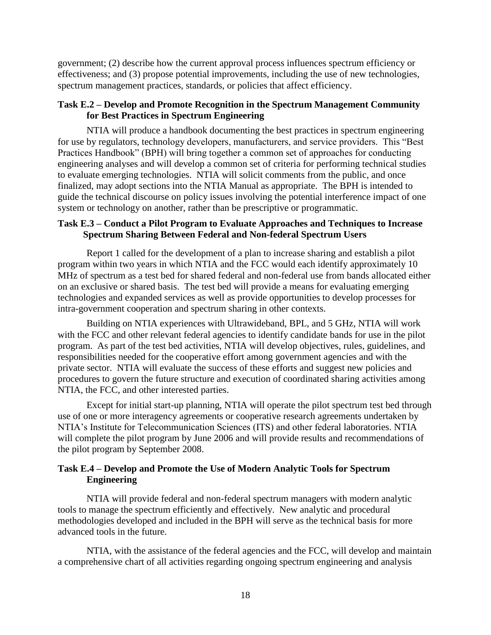government; (2) describe how the current approval process influences spectrum efficiency or effectiveness; and (3) propose potential improvements, including the use of new technologies, spectrum management practices, standards, or policies that affect efficiency.

#### **Task E.2 – Develop and Promote Recognition in the Spectrum Management Community for Best Practices in Spectrum Engineering**

NTIA will produce a handbook documenting the best practices in spectrum engineering for use by regulators, technology developers, manufacturers, and service providers. This "Best Practices Handbook" (BPH) will bring together a common set of approaches for conducting engineering analyses and will develop a common set of criteria for performing technical studies to evaluate emerging technologies. NTIA will solicit comments from the public, and once finalized, may adopt sections into the NTIA Manual as appropriate. The BPH is intended to guide the technical discourse on policy issues involving the potential interference impact of one system or technology on another, rather than be prescriptive or programmatic.

#### **Task E.3 – Conduct a Pilot Program to Evaluate Approaches and Techniques to Increase Spectrum Sharing Between Federal and Non-federal Spectrum Users**

Report 1 called for the development of a plan to increase sharing and establish a pilot program within two years in which NTIA and the FCC would each identify approximately 10 MHz of spectrum as a test bed for shared federal and non-federal use from bands allocated either on an exclusive or shared basis. The test bed will provide a means for evaluating emerging technologies and expanded services as well as provide opportunities to develop processes for intra-government cooperation and spectrum sharing in other contexts.

Building on NTIA experiences with Ultrawideband, BPL, and 5 GHz, NTIA will work with the FCC and other relevant federal agencies to identify candidate bands for use in the pilot program. As part of the test bed activities, NTIA will develop objectives, rules, guidelines, and responsibilities needed for the cooperative effort among government agencies and with the private sector. NTIA will evaluate the success of these efforts and suggest new policies and procedures to govern the future structure and execution of coordinated sharing activities among NTIA, the FCC, and other interested parties.

Except for initial start-up planning, NTIA will operate the pilot spectrum test bed through use of one or more interagency agreements or cooperative research agreements undertaken by NTIA's Institute for Telecommunication Sciences (ITS) and other federal laboratories. NTIA will complete the pilot program by June 2006 and will provide results and recommendations of the pilot program by September 2008.

#### **Task E.4 – Develop and Promote the Use of Modern Analytic Tools for Spectrum Engineering**

NTIA will provide federal and non-federal spectrum managers with modern analytic tools to manage the spectrum efficiently and effectively. New analytic and procedural methodologies developed and included in the BPH will serve as the technical basis for more advanced tools in the future.

NTIA, with the assistance of the federal agencies and the FCC, will develop and maintain a comprehensive chart of all activities regarding ongoing spectrum engineering and analysis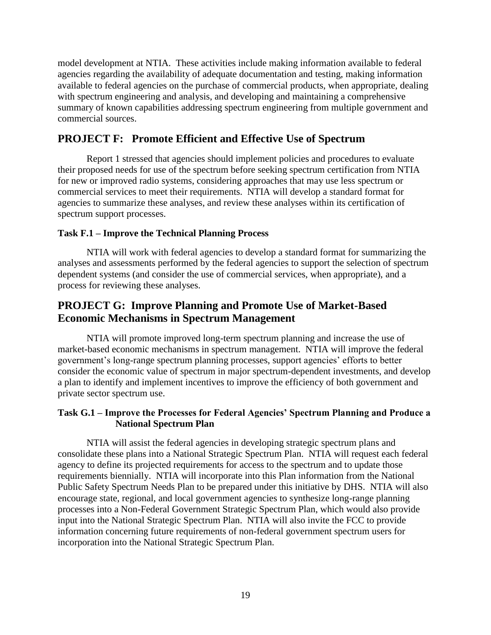model development at NTIA. These activities include making information available to federal agencies regarding the availability of adequate documentation and testing, making information available to federal agencies on the purchase of commercial products, when appropriate, dealing with spectrum engineering and analysis, and developing and maintaining a comprehensive summary of known capabilities addressing spectrum engineering from multiple government and commercial sources.

### **PROJECT F: Promote Efficient and Effective Use of Spectrum**

Report 1 stressed that agencies should implement policies and procedures to evaluate their proposed needs for use of the spectrum before seeking spectrum certification from NTIA for new or improved radio systems, considering approaches that may use less spectrum or commercial services to meet their requirements. NTIA will develop a standard format for agencies to summarize these analyses, and review these analyses within its certification of spectrum support processes.

#### **Task F.1 – Improve the Technical Planning Process**

NTIA will work with federal agencies to develop a standard format for summarizing the analyses and assessments performed by the federal agencies to support the selection of spectrum dependent systems (and consider the use of commercial services, when appropriate), and a process for reviewing these analyses.

### **PROJECT G: Improve Planning and Promote Use of Market-Based Economic Mechanisms in Spectrum Management**

NTIA will promote improved long-term spectrum planning and increase the use of market-based economic mechanisms in spectrum management. NTIA will improve the federal government's long-range spectrum planning processes, support agencies' efforts to better consider the economic value of spectrum in major spectrum-dependent investments, and develop a plan to identify and implement incentives to improve the efficiency of both government and private sector spectrum use.

#### **Task G.1 – Improve the Processes for Federal Agencies' Spectrum Planning and Produce a National Spectrum Plan**

NTIA will assist the federal agencies in developing strategic spectrum plans and consolidate these plans into a National Strategic Spectrum Plan. NTIA will request each federal agency to define its projected requirements for access to the spectrum and to update those requirements biennially. NTIA will incorporate into this Plan information from the National Public Safety Spectrum Needs Plan to be prepared under this initiative by DHS. NTIA will also encourage state, regional, and local government agencies to synthesize long-range planning processes into a Non-Federal Government Strategic Spectrum Plan, which would also provide input into the National Strategic Spectrum Plan. NTIA will also invite the FCC to provide information concerning future requirements of non-federal government spectrum users for incorporation into the National Strategic Spectrum Plan.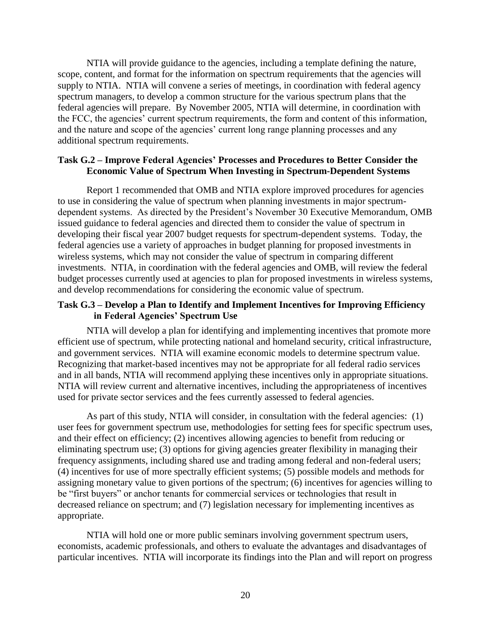NTIA will provide guidance to the agencies, including a template defining the nature, scope, content, and format for the information on spectrum requirements that the agencies will supply to NTIA. NTIA will convene a series of meetings, in coordination with federal agency spectrum managers, to develop a common structure for the various spectrum plans that the federal agencies will prepare. By November 2005, NTIA will determine, in coordination with the FCC, the agencies' current spectrum requirements, the form and content of this information, and the nature and scope of the agencies' current long range planning processes and any additional spectrum requirements.

#### **Task G.2 – Improve Federal Agencies' Processes and Procedures to Better Consider the Economic Value of Spectrum When Investing in Spectrum-Dependent Systems**

Report 1 recommended that OMB and NTIA explore improved procedures for agencies to use in considering the value of spectrum when planning investments in major spectrumdependent systems. As directed by the President's November 30 Executive Memorandum, OMB issued guidance to federal agencies and directed them to consider the value of spectrum in developing their fiscal year 2007 budget requests for spectrum-dependent systems. Today, the federal agencies use a variety of approaches in budget planning for proposed investments in wireless systems, which may not consider the value of spectrum in comparing different investments. NTIA, in coordination with the federal agencies and OMB, will review the federal budget processes currently used at agencies to plan for proposed investments in wireless systems, and develop recommendations for considering the economic value of spectrum.

#### **Task G.3 – Develop a Plan to Identify and Implement Incentives for Improving Efficiency in Federal Agencies' Spectrum Use**

NTIA will develop a plan for identifying and implementing incentives that promote more efficient use of spectrum, while protecting national and homeland security, critical infrastructure, and government services. NTIA will examine economic models to determine spectrum value. Recognizing that market-based incentives may not be appropriate for all federal radio services and in all bands, NTIA will recommend applying these incentives only in appropriate situations. NTIA will review current and alternative incentives, including the appropriateness of incentives used for private sector services and the fees currently assessed to federal agencies.

As part of this study, NTIA will consider, in consultation with the federal agencies: (1) user fees for government spectrum use, methodologies for setting fees for specific spectrum uses, and their effect on efficiency; (2) incentives allowing agencies to benefit from reducing or eliminating spectrum use; (3) options for giving agencies greater flexibility in managing their frequency assignments, including shared use and trading among federal and non-federal users; (4) incentives for use of more spectrally efficient systems; (5) possible models and methods for assigning monetary value to given portions of the spectrum; (6) incentives for agencies willing to be "first buyers" or anchor tenants for commercial services or technologies that result in decreased reliance on spectrum; and (7) legislation necessary for implementing incentives as appropriate.

NTIA will hold one or more public seminars involving government spectrum users, economists, academic professionals, and others to evaluate the advantages and disadvantages of particular incentives. NTIA will incorporate its findings into the Plan and will report on progress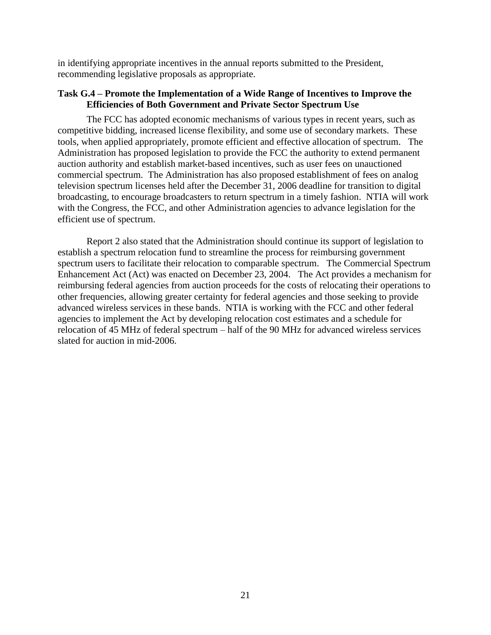in identifying appropriate incentives in the annual reports submitted to the President, recommending legislative proposals as appropriate.

#### **Task G.4 – Promote the Implementation of a Wide Range of Incentives to Improve the Efficiencies of Both Government and Private Sector Spectrum Use**

The FCC has adopted economic mechanisms of various types in recent years, such as competitive bidding, increased license flexibility, and some use of secondary markets. These tools, when applied appropriately, promote efficient and effective allocation of spectrum. The Administration has proposed legislation to provide the FCC the authority to extend permanent auction authority and establish market-based incentives, such as user fees on unauctioned commercial spectrum. The Administration has also proposed establishment of fees on analog television spectrum licenses held after the December 31, 2006 deadline for transition to digital broadcasting, to encourage broadcasters to return spectrum in a timely fashion. NTIA will work with the Congress, the FCC, and other Administration agencies to advance legislation for the efficient use of spectrum.

Report 2 also stated that the Administration should continue its support of legislation to establish a spectrum relocation fund to streamline the process for reimbursing government spectrum users to facilitate their relocation to comparable spectrum. The Commercial Spectrum Enhancement Act (Act) was enacted on December 23, 2004. The Act provides a mechanism for reimbursing federal agencies from auction proceeds for the costs of relocating their operations to other frequencies, allowing greater certainty for federal agencies and those seeking to provide advanced wireless services in these bands. NTIA is working with the FCC and other federal agencies to implement the Act by developing relocation cost estimates and a schedule for relocation of 45 MHz of federal spectrum – half of the 90 MHz for advanced wireless services slated for auction in mid-2006.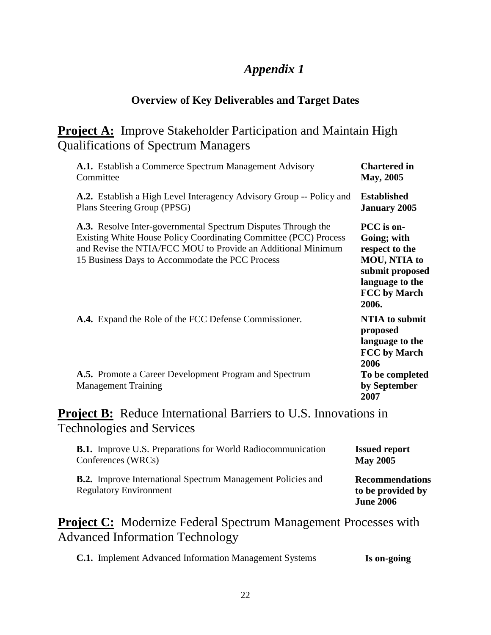## *Appendix 1*

# **Overview of Key Deliverables and Target Dates**

**Project A:** Improve Stakeholder Participation and Maintain High Qualifications of Spectrum Managers

| A.1. Establish a Commerce Spectrum Management Advisory<br>Committee                                                                                                                                                                                  | <b>Chartered in</b><br><b>May, 2005</b>                                                                                                         |
|------------------------------------------------------------------------------------------------------------------------------------------------------------------------------------------------------------------------------------------------------|-------------------------------------------------------------------------------------------------------------------------------------------------|
| A.2. Establish a High Level Interagency Advisory Group -- Policy and<br>Plans Steering Group (PPSG)                                                                                                                                                  | <b>Established</b><br><b>January 2005</b>                                                                                                       |
| A.3. Resolve Inter-governmental Spectrum Disputes Through the<br>Existing White House Policy Coordinating Committee (PCC) Process<br>and Revise the NTIA/FCC MOU to Provide an Additional Minimum<br>15 Business Days to Accommodate the PCC Process | <b>PCC</b> is on-<br>Going; with<br>respect to the<br><b>MOU, NTIA to</b><br>submit proposed<br>language to the<br><b>FCC</b> by March<br>2006. |
| A.4. Expand the Role of the FCC Defense Commissioner.                                                                                                                                                                                                | <b>NTIA</b> to submit<br>proposed<br>language to the<br><b>FCC</b> by March<br>2006                                                             |
| <b>A.5.</b> Promote a Career Development Program and Spectrum<br><b>Management Training</b>                                                                                                                                                          | To be completed<br>by September<br>2007                                                                                                         |
| $\sim$ $\sim$ $\sim$ $\sim$ $\sim$ $\sim$<br>$\blacksquare$                                                                                                                                                                                          |                                                                                                                                                 |

### **Project B:** Reduce International Barriers to U.S. Innovations in Technologies and Services

| <b>B.1.</b> Improve U.S. Preparations for World Radiocommunication<br>Conferences (WRCs)                                                                                                                                                                                             | <b>Issued report</b><br><b>May 2005</b>                         |
|--------------------------------------------------------------------------------------------------------------------------------------------------------------------------------------------------------------------------------------------------------------------------------------|-----------------------------------------------------------------|
| <b>B.2.</b> Improve International Spectrum Management Policies and<br><b>Regulatory Environment</b>                                                                                                                                                                                  | <b>Recommendations</b><br>to be provided by<br><b>June 2006</b> |
| $\mathbf{D}_{\text{non-1}}$ $\mathbf{C}_{\text{in}}$ $\mathbf{M}_{\text{non-1}}$ $\mathbf{L}_{\text{non-1}}$ $\mathbf{C}_{\text{non-1}}$ $\mathbf{M}_{\text{non-1}}$ $\mathbf{M}_{\text{non-1}}$ $\mathbf{D}_{\text{non-1}}$ $\mathbf{D}_{\text{non-1}}$ $\mathbf{D}_{\text{non-1}}$ |                                                                 |

### **Project C:** Modernize Federal Spectrum Management Processes with Advanced Information Technology

| <b>C.1.</b> Implement Advanced Information Management Systems | Is on-going |
|---------------------------------------------------------------|-------------|
|---------------------------------------------------------------|-------------|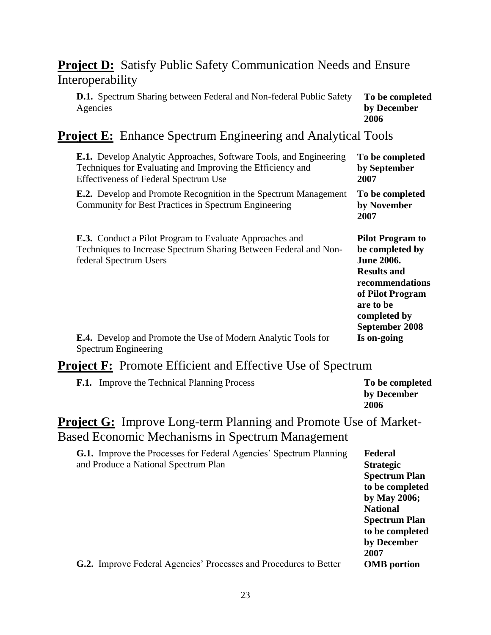# **Project D:** Satisfy Public Safety Communication Needs and Ensure Interoperability

| <b>D.1.</b> Spectrum Sharing between Federal and Non-federal Public Safety To be completed |             |
|--------------------------------------------------------------------------------------------|-------------|
| Agencies                                                                                   | by December |
|                                                                                            | 2006        |

# **Project E:** Enhance Spectrum Engineering and Analytical Tools

| <b>E.1.</b> Develop Analytic Approaches, Software Tools, and Engineering<br>Techniques for Evaluating and Improving the Efficiency and<br><b>Effectiveness of Federal Spectrum Use</b> | To be completed<br>by September<br>2007                                                                                                                                     |
|----------------------------------------------------------------------------------------------------------------------------------------------------------------------------------------|-----------------------------------------------------------------------------------------------------------------------------------------------------------------------------|
| <b>E.2.</b> Develop and Promote Recognition in the Spectrum Management<br>Community for Best Practices in Spectrum Engineering                                                         | To be completed<br>by November<br>2007                                                                                                                                      |
| <b>E.3.</b> Conduct a Pilot Program to Evaluate Approaches and<br>Techniques to Increase Spectrum Sharing Between Federal and Non-<br>federal Spectrum Users                           | <b>Pilot Program to</b><br>be completed by<br><b>June 2006.</b><br><b>Results and</b><br>recommendations<br>of Pilot Program<br>are to be<br>completed by<br>September 2008 |
| <b>E.4.</b> Develop and Promote the Use of Modern Analytic Tools for<br>Spectrum Engineering                                                                                           | Is on-going                                                                                                                                                                 |

# **Project F:** Promote Efficient and Effective Use of Spectrum

| <b>F.1.</b> Improve the Technical Planning Process<br>To be completed<br>by December<br>2006 |
|----------------------------------------------------------------------------------------------|
|----------------------------------------------------------------------------------------------|

# **Project G:** Improve Long-term Planning and Promote Use of Market-Based Economic Mechanisms in Spectrum Management

| <b>G.1.</b> Improve the Processes for Federal Agencies' Spectrum Planning<br>and Produce a National Spectrum Plan<br>G.2. Improve Federal Agencies' Processes and Procedures to Better | Federal<br><b>Strategic</b><br><b>Spectrum Plan</b><br>to be completed<br>by May 2006;<br><b>National</b><br><b>Spectrum Plan</b><br>to be completed<br>by December<br>2007<br><b>OMB</b> portion |
|----------------------------------------------------------------------------------------------------------------------------------------------------------------------------------------|---------------------------------------------------------------------------------------------------------------------------------------------------------------------------------------------------|
|----------------------------------------------------------------------------------------------------------------------------------------------------------------------------------------|---------------------------------------------------------------------------------------------------------------------------------------------------------------------------------------------------|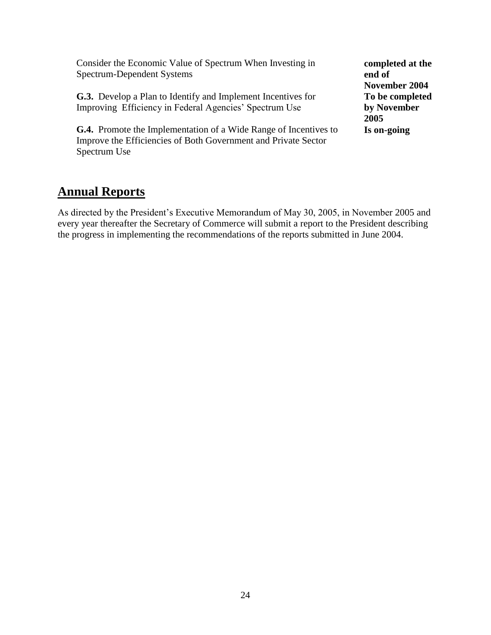| Consider the Economic Value of Spectrum When Investing in               | completed at the     |
|-------------------------------------------------------------------------|----------------------|
| Spectrum-Dependent Systems                                              | end of               |
|                                                                         | <b>November 2004</b> |
| <b>G.3.</b> Develop a Plan to Identify and Implement Incentives for     | To be completed      |
| Improving Efficiency in Federal Agencies' Spectrum Use                  | by November          |
|                                                                         | 2005                 |
| <b>G.4.</b> Promote the Implementation of a Wide Range of Incentives to | Is on-going          |
| Improve the Efficiencies of Both Government and Private Sector          |                      |
| Spectrum Use                                                            |                      |

# **Annual Reports**

As directed by the President's Executive Memorandum of May 30, 2005, in November 2005 and every year thereafter the Secretary of Commerce will submit a report to the President describing the progress in implementing the recommendations of the reports submitted in June 2004.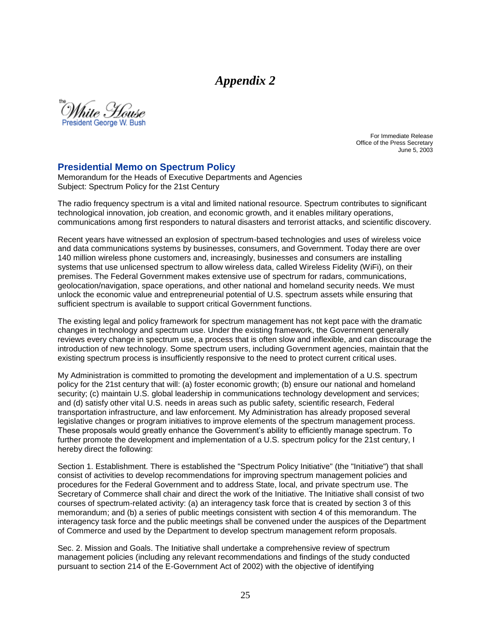# *Appendix 2*

<sup>f</sup>it*e House* President George W. Bush

For Immediate Release Office of the Press Secretary June 5, 2003

#### **Presidential Memo on Spectrum Policy**

Memorandum for the Heads of Executive Departments and Agencies Subject: Spectrum Policy for the 21st Century

The radio frequency spectrum is a vital and limited national resource. Spectrum contributes to significant technological innovation, job creation, and economic growth, and it enables military operations, communications among first responders to natural disasters and terrorist attacks, and scientific discovery.

Recent years have witnessed an explosion of spectrum-based technologies and uses of wireless voice and data communications systems by businesses, consumers, and Government. Today there are over 140 million wireless phone customers and, increasingly, businesses and consumers are installing systems that use unlicensed spectrum to allow wireless data, called Wireless Fidelity (WiFi), on their premises. The Federal Government makes extensive use of spectrum for radars, communications, geolocation/navigation, space operations, and other national and homeland security needs. We must unlock the economic value and entrepreneurial potential of U.S. spectrum assets while ensuring that sufficient spectrum is available to support critical Government functions.

The existing legal and policy framework for spectrum management has not kept pace with the dramatic changes in technology and spectrum use. Under the existing framework, the Government generally reviews every change in spectrum use, a process that is often slow and inflexible, and can discourage the introduction of new technology. Some spectrum users, including Government agencies, maintain that the existing spectrum process is insufficiently responsive to the need to protect current critical uses.

My Administration is committed to promoting the development and implementation of a U.S. spectrum policy for the 21st century that will: (a) foster economic growth; (b) ensure our national and homeland security; (c) maintain U.S. global leadership in communications technology development and services; and (d) satisfy other vital U.S. needs in areas such as public safety, scientific research, Federal transportation infrastructure, and law enforcement. My Administration has already proposed several legislative changes or program initiatives to improve elements of the spectrum management process. These proposals would greatly enhance the Government's ability to efficiently manage spectrum. To further promote the development and implementation of a U.S. spectrum policy for the 21st century, I hereby direct the following:

Section 1. Establishment. There is established the "Spectrum Policy Initiative" (the "Initiative") that shall consist of activities to develop recommendations for improving spectrum management policies and procedures for the Federal Government and to address State, local, and private spectrum use. The Secretary of Commerce shall chair and direct the work of the Initiative. The Initiative shall consist of two courses of spectrum-related activity: (a) an interagency task force that is created by section 3 of this memorandum; and (b) a series of public meetings consistent with section 4 of this memorandum. The interagency task force and the public meetings shall be convened under the auspices of the Department of Commerce and used by the Department to develop spectrum management reform proposals.

Sec. 2. Mission and Goals. The Initiative shall undertake a comprehensive review of spectrum management policies (including any relevant recommendations and findings of the study conducted pursuant to section 214 of the E-Government Act of 2002) with the objective of identifying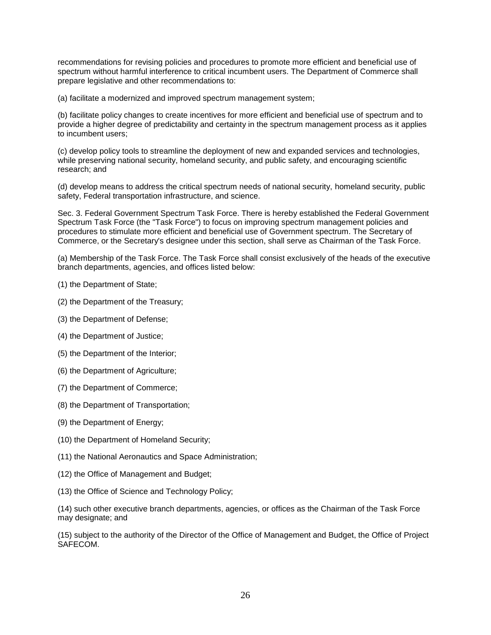recommendations for revising policies and procedures to promote more efficient and beneficial use of spectrum without harmful interference to critical incumbent users. The Department of Commerce shall prepare legislative and other recommendations to:

(a) facilitate a modernized and improved spectrum management system;

(b) facilitate policy changes to create incentives for more efficient and beneficial use of spectrum and to provide a higher degree of predictability and certainty in the spectrum management process as it applies to incumbent users;

(c) develop policy tools to streamline the deployment of new and expanded services and technologies, while preserving national security, homeland security, and public safety, and encouraging scientific research; and

(d) develop means to address the critical spectrum needs of national security, homeland security, public safety, Federal transportation infrastructure, and science.

Sec. 3. Federal Government Spectrum Task Force. There is hereby established the Federal Government Spectrum Task Force (the "Task Force") to focus on improving spectrum management policies and procedures to stimulate more efficient and beneficial use of Government spectrum. The Secretary of Commerce, or the Secretary's designee under this section, shall serve as Chairman of the Task Force.

(a) Membership of the Task Force. The Task Force shall consist exclusively of the heads of the executive branch departments, agencies, and offices listed below:

(1) the Department of State;

- (2) the Department of the Treasury;
- (3) the Department of Defense;
- (4) the Department of Justice;
- (5) the Department of the Interior;
- (6) the Department of Agriculture;
- (7) the Department of Commerce;
- (8) the Department of Transportation;
- (9) the Department of Energy;
- (10) the Department of Homeland Security;
- (11) the National Aeronautics and Space Administration;
- (12) the Office of Management and Budget;
- (13) the Office of Science and Technology Policy;

(14) such other executive branch departments, agencies, or offices as the Chairman of the Task Force may designate; and

(15) subject to the authority of the Director of the Office of Management and Budget, the Office of Project SAFECOM.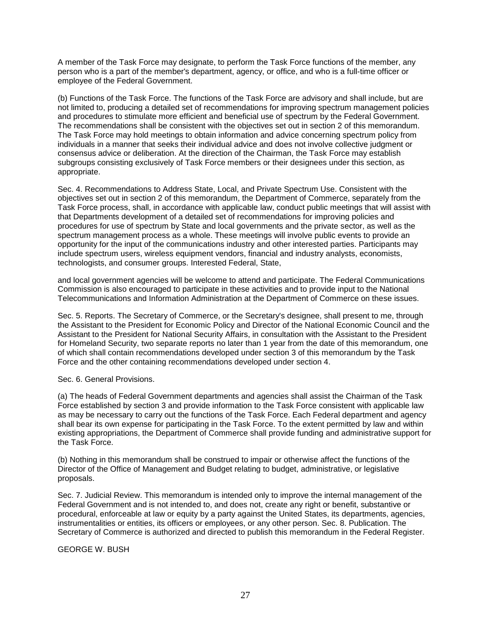A member of the Task Force may designate, to perform the Task Force functions of the member, any person who is a part of the member's department, agency, or office, and who is a full-time officer or employee of the Federal Government.

(b) Functions of the Task Force. The functions of the Task Force are advisory and shall include, but are not limited to, producing a detailed set of recommendations for improving spectrum management policies and procedures to stimulate more efficient and beneficial use of spectrum by the Federal Government. The recommendations shall be consistent with the objectives set out in section 2 of this memorandum. The Task Force may hold meetings to obtain information and advice concerning spectrum policy from individuals in a manner that seeks their individual advice and does not involve collective judgment or consensus advice or deliberation. At the direction of the Chairman, the Task Force may establish subgroups consisting exclusively of Task Force members or their designees under this section, as appropriate.

Sec. 4. Recommendations to Address State, Local, and Private Spectrum Use. Consistent with the objectives set out in section 2 of this memorandum, the Department of Commerce, separately from the Task Force process, shall, in accordance with applicable law, conduct public meetings that will assist with that Departments development of a detailed set of recommendations for improving policies and procedures for use of spectrum by State and local governments and the private sector, as well as the spectrum management process as a whole. These meetings will involve public events to provide an opportunity for the input of the communications industry and other interested parties. Participants may include spectrum users, wireless equipment vendors, financial and industry analysts, economists, technologists, and consumer groups. Interested Federal, State,

and local government agencies will be welcome to attend and participate. The Federal Communications Commission is also encouraged to participate in these activities and to provide input to the National Telecommunications and Information Administration at the Department of Commerce on these issues.

Sec. 5. Reports. The Secretary of Commerce, or the Secretary's designee, shall present to me, through the Assistant to the President for Economic Policy and Director of the National Economic Council and the Assistant to the President for National Security Affairs, in consultation with the Assistant to the President for Homeland Security, two separate reports no later than 1 year from the date of this memorandum, one of which shall contain recommendations developed under section 3 of this memorandum by the Task Force and the other containing recommendations developed under section 4.

Sec. 6. General Provisions.

(a) The heads of Federal Government departments and agencies shall assist the Chairman of the Task Force established by section 3 and provide information to the Task Force consistent with applicable law as may be necessary to carry out the functions of the Task Force. Each Federal department and agency shall bear its own expense for participating in the Task Force. To the extent permitted by law and within existing appropriations, the Department of Commerce shall provide funding and administrative support for the Task Force.

(b) Nothing in this memorandum shall be construed to impair or otherwise affect the functions of the Director of the Office of Management and Budget relating to budget, administrative, or legislative proposals.

Sec. 7. Judicial Review. This memorandum is intended only to improve the internal management of the Federal Government and is not intended to, and does not, create any right or benefit, substantive or procedural, enforceable at law or equity by a party against the United States, its departments, agencies, instrumentalities or entities, its officers or employees, or any other person. Sec. 8. Publication. The Secretary of Commerce is authorized and directed to publish this memorandum in the Federal Register.

GEORGE W. BUSH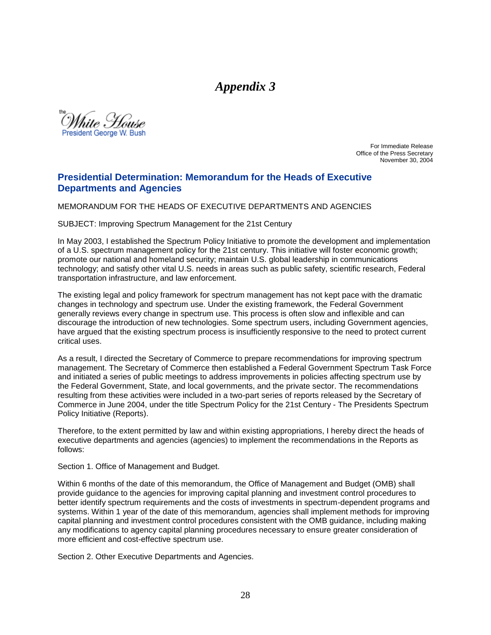# *Appendix 3*

President George W. Bush

For Immediate Release Office of the Press Secretary November 30, 2004

#### **Presidential Determination: Memorandum for the Heads of Executive Departments and Agencies**

MEMORANDUM FOR THE HEADS OF EXECUTIVE DEPARTMENTS AND AGENCIES

SUBJECT: Improving Spectrum Management for the 21st Century

In May 2003, I established the Spectrum Policy Initiative to promote the development and implementation of a U.S. spectrum management policy for the 21st century. This initiative will foster economic growth; promote our national and homeland security; maintain U.S. global leadership in communications technology; and satisfy other vital U.S. needs in areas such as public safety, scientific research, Federal transportation infrastructure, and law enforcement.

The existing legal and policy framework for spectrum management has not kept pace with the dramatic changes in technology and spectrum use. Under the existing framework, the Federal Government generally reviews every change in spectrum use. This process is often slow and inflexible and can discourage the introduction of new technologies. Some spectrum users, including Government agencies, have argued that the existing spectrum process is insufficiently responsive to the need to protect current critical uses.

As a result, I directed the Secretary of Commerce to prepare recommendations for improving spectrum management. The Secretary of Commerce then established a Federal Government Spectrum Task Force and initiated a series of public meetings to address improvements in policies affecting spectrum use by the Federal Government, State, and local governments, and the private sector. The recommendations resulting from these activities were included in a two-part series of reports released by the Secretary of Commerce in June 2004, under the title Spectrum Policy for the 21st Century - The Presidents Spectrum Policy Initiative (Reports).

Therefore, to the extent permitted by law and within existing appropriations, I hereby direct the heads of executive departments and agencies (agencies) to implement the recommendations in the Reports as follows:

Section 1. Office of Management and Budget.

Within 6 months of the date of this memorandum, the Office of Management and Budget (OMB) shall provide guidance to the agencies for improving capital planning and investment control procedures to better identify spectrum requirements and the costs of investments in spectrum-dependent programs and systems. Within 1 year of the date of this memorandum, agencies shall implement methods for improving capital planning and investment control procedures consistent with the OMB guidance, including making any modifications to agency capital planning procedures necessary to ensure greater consideration of more efficient and cost-effective spectrum use.

Section 2. Other Executive Departments and Agencies.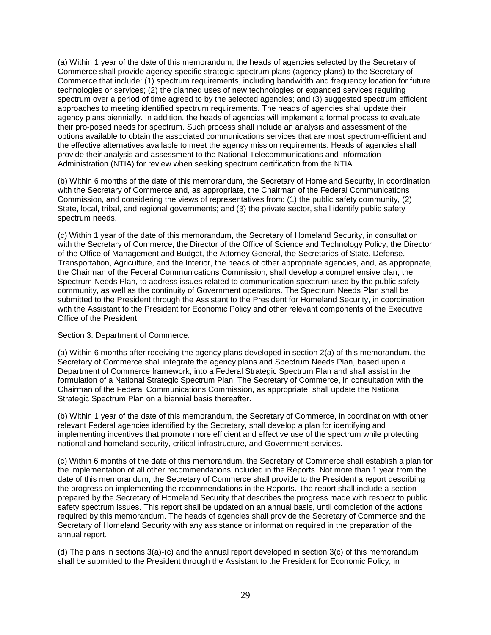(a) Within 1 year of the date of this memorandum, the heads of agencies selected by the Secretary of Commerce shall provide agency-specific strategic spectrum plans (agency plans) to the Secretary of Commerce that include: (1) spectrum requirements, including bandwidth and frequency location for future technologies or services; (2) the planned uses of new technologies or expanded services requiring spectrum over a period of time agreed to by the selected agencies; and (3) suggested spectrum efficient approaches to meeting identified spectrum requirements. The heads of agencies shall update their agency plans biennially. In addition, the heads of agencies will implement a formal process to evaluate their pro-posed needs for spectrum. Such process shall include an analysis and assessment of the options available to obtain the associated communications services that are most spectrum-efficient and the effective alternatives available to meet the agency mission requirements. Heads of agencies shall provide their analysis and assessment to the National Telecommunications and Information Administration (NTIA) for review when seeking spectrum certification from the NTIA.

(b) Within 6 months of the date of this memorandum, the Secretary of Homeland Security, in coordination with the Secretary of Commerce and, as appropriate, the Chairman of the Federal Communications Commission, and considering the views of representatives from: (1) the public safety community, (2) State, local, tribal, and regional governments; and (3) the private sector, shall identify public safety spectrum needs.

(c) Within 1 year of the date of this memorandum, the Secretary of Homeland Security, in consultation with the Secretary of Commerce, the Director of the Office of Science and Technology Policy, the Director of the Office of Management and Budget, the Attorney General, the Secretaries of State, Defense, Transportation, Agriculture, and the Interior, the heads of other appropriate agencies, and, as appropriate, the Chairman of the Federal Communications Commission, shall develop a comprehensive plan, the Spectrum Needs Plan, to address issues related to communication spectrum used by the public safety community, as well as the continuity of Government operations. The Spectrum Needs Plan shall be submitted to the President through the Assistant to the President for Homeland Security, in coordination with the Assistant to the President for Economic Policy and other relevant components of the Executive Office of the President.

Section 3. Department of Commerce.

(a) Within 6 months after receiving the agency plans developed in section 2(a) of this memorandum, the Secretary of Commerce shall integrate the agency plans and Spectrum Needs Plan, based upon a Department of Commerce framework, into a Federal Strategic Spectrum Plan and shall assist in the formulation of a National Strategic Spectrum Plan. The Secretary of Commerce, in consultation with the Chairman of the Federal Communications Commission, as appropriate, shall update the National Strategic Spectrum Plan on a biennial basis thereafter.

(b) Within 1 year of the date of this memorandum, the Secretary of Commerce, in coordination with other relevant Federal agencies identified by the Secretary, shall develop a plan for identifying and implementing incentives that promote more efficient and effective use of the spectrum while protecting national and homeland security, critical infrastructure, and Government services.

(c) Within 6 months of the date of this memorandum, the Secretary of Commerce shall establish a plan for the implementation of all other recommendations included in the Reports. Not more than 1 year from the date of this memorandum, the Secretary of Commerce shall provide to the President a report describing the progress on implementing the recommendations in the Reports. The report shall include a section prepared by the Secretary of Homeland Security that describes the progress made with respect to public safety spectrum issues. This report shall be updated on an annual basis, until completion of the actions required by this memorandum. The heads of agencies shall provide the Secretary of Commerce and the Secretary of Homeland Security with any assistance or information required in the preparation of the annual report.

(d) The plans in sections 3(a)-(c) and the annual report developed in section 3(c) of this memorandum shall be submitted to the President through the Assistant to the President for Economic Policy, in